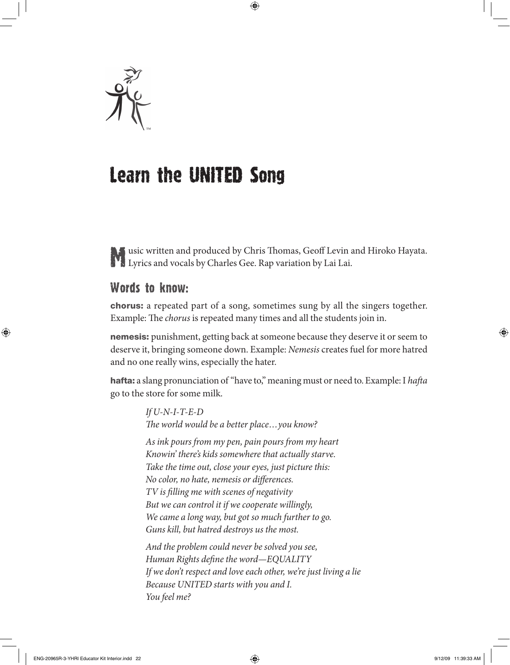

## Learn the UnITED Song

**Music written and produced by Chris Thomas, Geoff Levin and Hiroko Hayata. Lyrics and vocals by Charles Gee. Rap variation by Lai Lai.** 

## Words to know:

chorus: a repeated part of a song, sometimes sung by all the singers together. Example: The *chorus* is repeated many times and all the students join in.

**nemesis:** punishment, getting back at someone because they deserve it or seem to deserve it, bringing someone down. Example: *Nemesis* creates fuel for more hatred and no one really wins, especially the hater.

hafta: a slang pronunciation of "have to," meaning must or need to. Example: I hafta go to the store for some milk.

> *If U-N-I-T-E-D* The world would be a better place... you know?

*As ink pours from my pen, pain pours from my heart Knowin' there's kids somewhere that actually starve. Take the time out, close your eyes, just picture this: No color, no hate, nemesis or differences. TV is lling me with scenes of negativity But we can control it if we cooperate willingly, We came a long way, but got so much further to go. Guns kill, but hatred destroys us the most.*

*And the problem could never be solved you see, Human Rights define the word—EQUALITY If we don't respect and love each other, we're just living a lie Because UNITED starts with you and I. You feel me?*